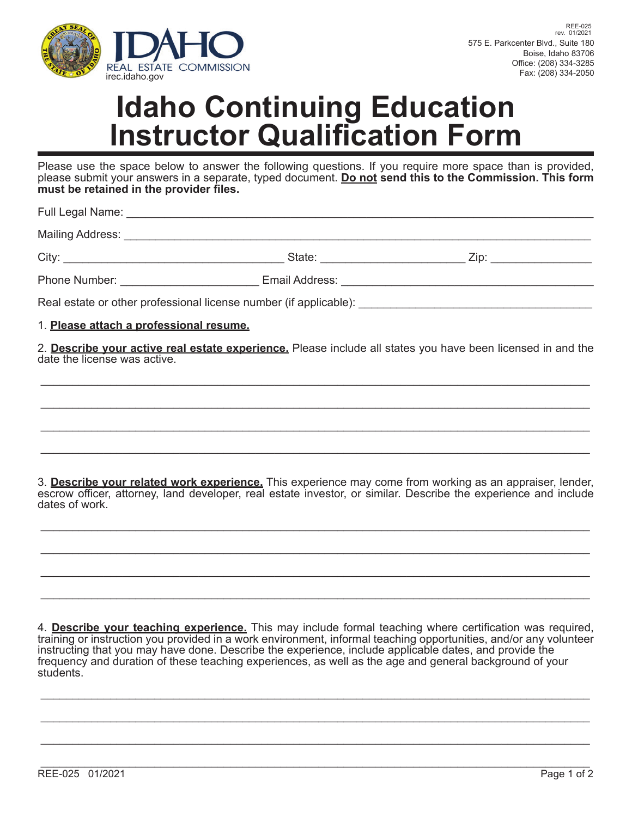

## **Idaho Continuing Education Instructor Qualification Form**

Please use the space below to answer the following questions. If you require more space than is provided, please submit your answers in a separate, typed document. **Do not send this to the Commission. This form**  must be retained in the provider files.

Full Legal Name: \_\_\_\_\_\_\_\_\_\_\_\_\_\_\_\_\_\_\_\_\_\_\_\_\_\_\_\_\_\_\_\_\_\_\_\_\_\_\_\_\_\_\_\_\_\_\_\_\_\_\_\_\_\_\_\_\_\_\_\_\_\_\_\_\_\_\_\_\_\_\_\_\_\_

Mailing Address: \_\_\_\_\_\_\_\_\_\_\_\_\_\_\_\_\_\_\_\_\_\_\_\_\_\_\_\_\_\_\_\_\_\_\_\_\_\_\_\_\_\_\_\_\_\_\_\_\_\_\_\_\_\_\_\_\_\_\_\_\_\_\_\_\_\_\_\_\_\_\_\_\_\_

City: \_\_\_\_\_\_\_\_\_\_\_\_\_\_\_\_\_\_\_\_\_\_\_\_\_\_\_\_\_\_\_\_\_\_\_ State: \_\_\_\_\_\_\_\_\_\_\_\_\_\_\_\_\_\_\_\_\_\_\_ Zip: \_\_\_\_\_\_\_\_\_\_\_\_\_\_\_\_

Phone Number: \_\_\_\_\_\_\_\_\_\_\_\_\_\_\_\_\_\_\_\_\_\_\_\_\_ Email Address: \_\_\_\_\_\_\_\_\_\_\_\_\_\_\_\_\_\_\_\_\_\_\_\_\_\_

Real estate or other professional license number (if applicable): \_\_\_\_\_\_\_\_\_\_\_\_\_\_\_

1. **Please attach a professional resume.**

2. **Describe your active real estate experience.** Please include all states you have been licensed in and the date the license was active.

\_\_\_\_\_\_\_\_\_\_\_\_\_\_\_\_\_\_\_\_\_\_\_\_\_\_\_\_\_\_\_\_\_\_\_\_\_\_\_\_\_\_\_\_\_\_\_\_\_\_\_\_\_\_\_\_\_\_\_\_\_\_\_\_\_\_\_\_\_\_\_\_\_\_\_\_\_\_\_\_\_\_\_\_\_\_\_

\_\_\_\_\_\_\_\_\_\_\_\_\_\_\_\_\_\_\_\_\_\_\_\_\_\_\_\_\_\_\_\_\_\_\_\_\_\_\_\_\_\_\_\_\_\_\_\_\_\_\_\_\_\_\_\_\_\_\_\_\_\_\_\_\_\_\_\_\_\_\_\_\_\_\_\_\_\_\_\_\_\_\_\_\_\_\_

\_\_\_\_\_\_\_\_\_\_\_\_\_\_\_\_\_\_\_\_\_\_\_\_\_\_\_\_\_\_\_\_\_\_\_\_\_\_\_\_\_\_\_\_\_\_\_\_\_\_\_\_\_\_\_\_\_\_\_\_\_\_\_\_\_\_\_\_\_\_\_\_\_\_\_\_\_\_\_\_\_\_\_\_\_\_\_

\_\_\_\_\_\_\_\_\_\_\_\_\_\_\_\_\_\_\_\_\_\_\_\_\_\_\_\_\_\_\_\_\_\_\_\_\_\_\_\_\_\_\_\_\_\_\_\_\_\_\_\_\_\_\_\_\_\_\_\_\_\_\_\_\_\_\_\_\_\_\_\_\_\_\_\_\_\_\_\_\_\_\_\_\_\_\_

3. **Describe your related work experience.** This experience may come from working as an appraiser, lender, escrow officer, attorney, land developer, real estate investor, or similar. Describe the experience and include dates of work.

\_\_\_\_\_\_\_\_\_\_\_\_\_\_\_\_\_\_\_\_\_\_\_\_\_\_\_\_\_\_\_\_\_\_\_\_\_\_\_\_\_\_\_\_\_\_\_\_\_\_\_\_\_\_\_\_\_\_\_\_\_\_\_\_\_\_\_\_\_\_\_\_\_\_\_\_\_\_\_\_\_\_\_\_\_\_\_

\_\_\_\_\_\_\_\_\_\_\_\_\_\_\_\_\_\_\_\_\_\_\_\_\_\_\_\_\_\_\_\_\_\_\_\_\_\_\_\_\_\_\_\_\_\_\_\_\_\_\_\_\_\_\_\_\_\_\_\_\_\_\_\_\_\_\_\_\_\_\_\_\_\_\_\_\_\_\_\_\_\_\_\_\_\_\_

\_\_\_\_\_\_\_\_\_\_\_\_\_\_\_\_\_\_\_\_\_\_\_\_\_\_\_\_\_\_\_\_\_\_\_\_\_\_\_\_\_\_\_\_\_\_\_\_\_\_\_\_\_\_\_\_\_\_\_\_\_\_\_\_\_\_\_\_\_\_\_\_\_\_\_\_\_\_\_\_\_\_\_\_\_\_\_

\_\_\_\_\_\_\_\_\_\_\_\_\_\_\_\_\_\_\_\_\_\_\_\_\_\_\_\_\_\_\_\_\_\_\_\_\_\_\_\_\_\_\_\_\_\_\_\_\_\_\_\_\_\_\_\_\_\_\_\_\_\_\_\_\_\_\_\_\_\_\_\_\_\_\_\_\_\_\_\_\_\_\_\_\_\_\_

4. **Describe your teaching experience.** This may include formal teaching where certification was required, training or instruction you provided in a work environment, informal teaching opportunities, and/or any volunteer instructing that you may have done. Describe the experience, include applicable dates, and provide the frequency and duration of these teaching experiences, as well as the age and general background of your students.

\_\_\_\_\_\_\_\_\_\_\_\_\_\_\_\_\_\_\_\_\_\_\_\_\_\_\_\_\_\_\_\_\_\_\_\_\_\_\_\_\_\_\_\_\_\_\_\_\_\_\_\_\_\_\_\_\_\_\_\_\_\_\_\_\_\_\_\_\_\_\_\_\_\_\_\_\_\_\_\_\_\_\_\_\_\_\_

\_\_\_\_\_\_\_\_\_\_\_\_\_\_\_\_\_\_\_\_\_\_\_\_\_\_\_\_\_\_\_\_\_\_\_\_\_\_\_\_\_\_\_\_\_\_\_\_\_\_\_\_\_\_\_\_\_\_\_\_\_\_\_\_\_\_\_\_\_\_\_\_\_\_\_\_\_\_\_\_\_\_\_\_\_\_\_

\_\_\_\_\_\_\_\_\_\_\_\_\_\_\_\_\_\_\_\_\_\_\_\_\_\_\_\_\_\_\_\_\_\_\_\_\_\_\_\_\_\_\_\_\_\_\_\_\_\_\_\_\_\_\_\_\_\_\_\_\_\_\_\_\_\_\_\_\_\_\_\_\_\_\_\_\_\_\_\_\_\_\_\_\_\_\_